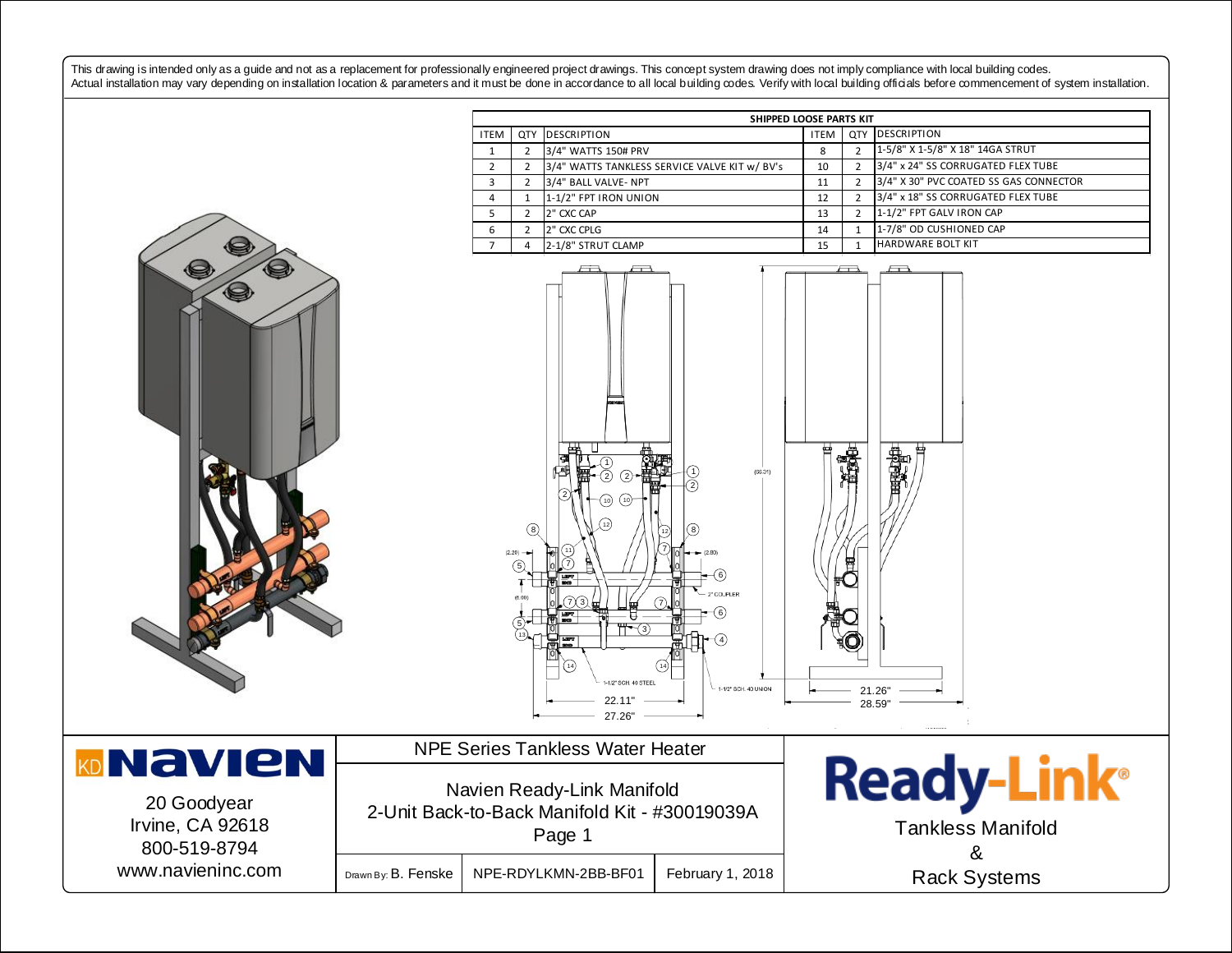This drawing is intended only as a guide and not as a replacement for professionally engineered project drawings. This concept system drawing does not imply compliance with local building codes. Actual installation may vary depending on installation location & parameters and it must be done in accordance to all local building codes. Verify with local building officials before commencement of system installation.

ITEM QTY DESCRIPTION **ITEM** QTY DESCRIPTION

**SHIPPED LOOSE PARTS KIT**

|                                                                  | 3/4" WATTS 150# PRV<br>$\mathbf{1}$<br>2                                                                                                                                                | 8  | 2              | 1-5/8" X 1-5/8" X 18" 14GA STRUT                   |
|------------------------------------------------------------------|-----------------------------------------------------------------------------------------------------------------------------------------------------------------------------------------|----|----------------|----------------------------------------------------|
|                                                                  | $\overline{2}$<br>3/4" WATTS TANKLESS SERVICE VALVE KIT w/ BV's<br>$\overline{2}$                                                                                                       | 10 | $\overline{2}$ | 3/4" x 24" SS CORRUGATED FLEX TUBE                 |
|                                                                  | 3<br>3/4" BALL VALVE- NPT<br>2                                                                                                                                                          | 11 | 2              | 3/4" X 30" PVC COATED SS GAS CONNECTOR             |
|                                                                  | 1-1/2" FPT IRON UNION<br>4<br>$\mathbf{1}$                                                                                                                                              | 12 | $\overline{2}$ | 3/4" x 18" SS CORRUGATED FLEX TUBE                 |
|                                                                  | 5<br>$\overline{2}$<br>2" CXC CAP                                                                                                                                                       | 13 | $\overline{2}$ | 1-1/2" FPT GALV IRON CAP                           |
|                                                                  | 2" CXC CPLG<br>6<br>$\overline{2}$                                                                                                                                                      | 14 | $\mathbf{1}$   | 1-7/8" OD CUSHIONED CAP                            |
|                                                                  | 2-1/8" STRUT CLAMP<br>$\overline{7}$<br>4                                                                                                                                               | 15 | $\mathbf 1$    | <b>HARDWARE BOLT KIT</b>                           |
| Q                                                                | (66.31)<br>ි<br>(10)<br>(10)<br>$\circledcirc$<br>8<br>$(2.20) -$<br>(5)<br>(6)<br>2" COUPLER<br>(6)<br>ी<br>न<br>14<br>-1/2" SCH. 40 STEE<br>- 1-1/2" SCH. 40 UNION<br>22.11<br>27.26' |    |                | \$p<br>XV<br>21.26"<br>28.59"                      |
| <b>JAVIEN</b><br>20 Goodyear<br>Irvine, CA 92618<br>800-519-8794 | <b>NPE Series Tankless Water Heater</b><br>Navien Ready-Link Manifold<br>2-Unit Back-to-Back Manifold Kit - #30019039A<br>Page 1                                                        |    |                | <b>Ready-Lin</b><br><b>Tankless Manifold</b><br>Ω. |



KD

Drawn By: B. Fenske | NPE-RDYLKMN-2BB-BF01 | February 1, 2018

ady-Link® Tankless Manifold & Rack Systems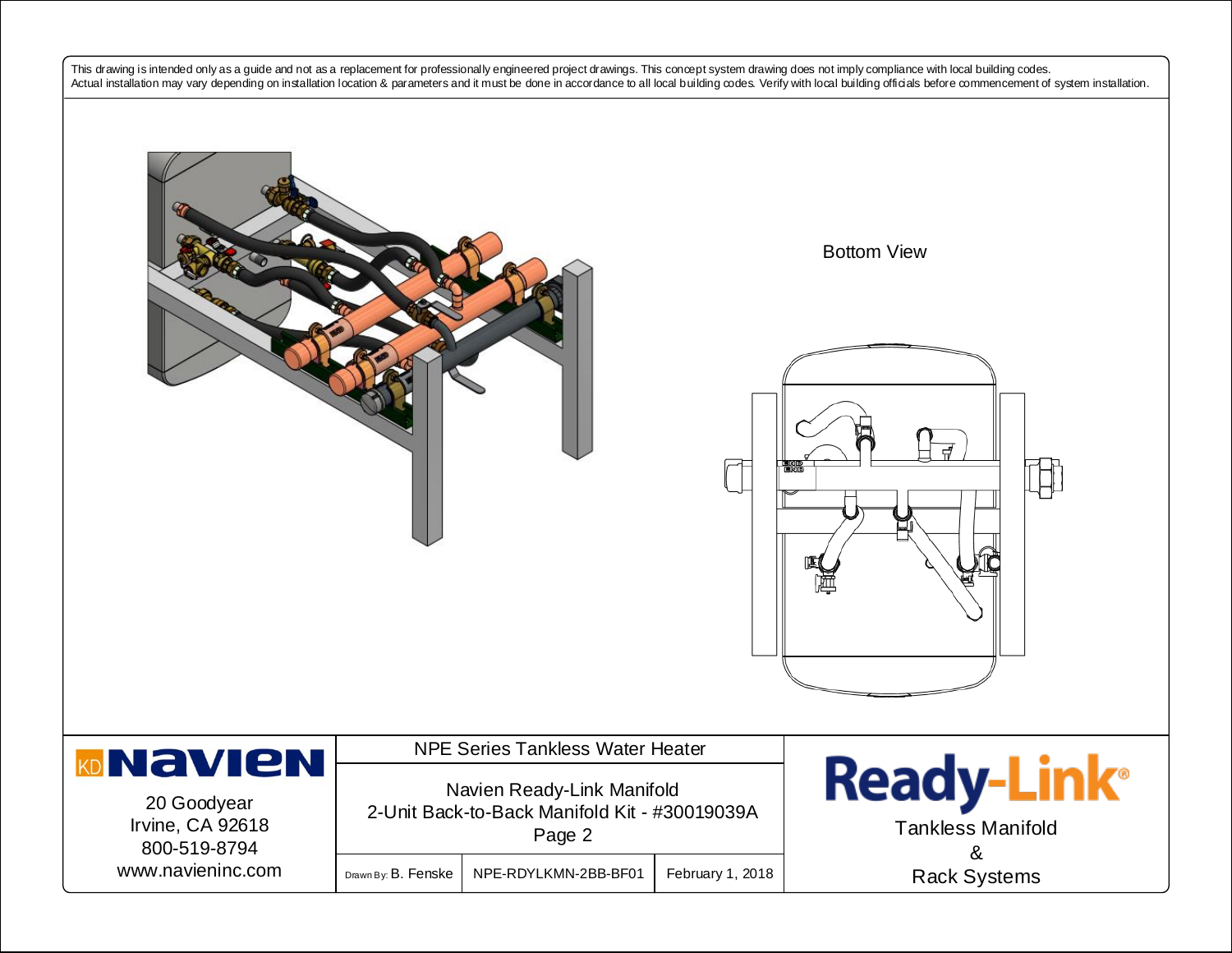This drawing is intended only as a guide and not as a replacement for professionally engineered project drawings. This concept system drawing does not imply compliance with local building codes. Actual installation may vary depending on installation location & parameters and it must be done in accordance to all local building codes. Verify with local building officials before commencement of system installation.